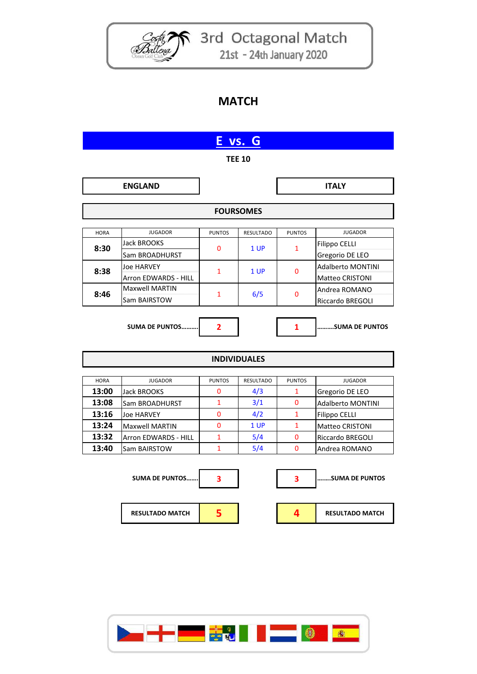

Costa 3rd Octagonal Match 21st - 24th January 2020

## **MATCH**

| E vs. G             |                                       |               |                  |               |                                                    |  |  |  |  |
|---------------------|---------------------------------------|---------------|------------------|---------------|----------------------------------------------------|--|--|--|--|
| <b>TEE 10</b>       |                                       |               |                  |               |                                                    |  |  |  |  |
|                     | <b>ENGLAND</b>                        |               |                  |               | <b>ITALY</b>                                       |  |  |  |  |
| <b>FOURSOMES</b>    |                                       |               |                  |               |                                                    |  |  |  |  |
| <b>HORA</b>         | <b>JUGADOR</b>                        | <b>PUNTOS</b> | <b>RESULTADO</b> | <b>PUNTOS</b> | <b>JUGADOR</b>                                     |  |  |  |  |
| 8:30                | Jack BROOKS<br>Sam BROADHURST         | 0             | 1 UP             | $\mathbf{1}$  | Filippo CELLI<br>Gregorio DE LEO                   |  |  |  |  |
| 8:38                | Joe HARVEY<br>Arron EDWARDS - HILL    | $\mathbf{1}$  | 1 UP             | 0             | <b>Adalberto MONTINI</b><br><b>Matteo CRISTONI</b> |  |  |  |  |
| 8:46                | <b>Maxwell MARTIN</b><br>Sam BAIRSTOW | $\mathbf{1}$  | 6/5              | $\mathbf{0}$  | Andrea ROMANO<br>Riccardo BREGOLI                  |  |  |  |  |
|                     | <b>SUMA DE PUNTOS</b>                 | $\mathbf{2}$  |                  | 1             | SUMA DE PUNTOS                                     |  |  |  |  |
| <b>INDIVIDUALES</b> |                                       |               |                  |               |                                                    |  |  |  |  |
| <b>HORA</b>         | <b>JUGADOR</b>                        | <b>PUNTOS</b> | <b>RESULTADO</b> | <b>PUNTOS</b> | <b>JUGADOR</b>                                     |  |  |  |  |
| 13:00               | Jack BROOKS                           | 0             | 4/3              | 1             | Gregorio DE LEO                                    |  |  |  |  |
| 13:08               | Sam BROADHURST                        | $\mathbf{1}$  | 3/1              | 0             | <b>Adalberto MONTINI</b>                           |  |  |  |  |
| 13:16               | <b>Joe HARVEY</b>                     | 0             | 4/2              | $\mathbf{1}$  | Filippo CELLI                                      |  |  |  |  |
| 13:24               | <b>Maxwell MARTIN</b>                 | 0             | 1 UP             | $\mathbf{1}$  | <b>Matteo CRISTONI</b>                             |  |  |  |  |
| 13:32               | Arron EDWARDS - HILL                  | $\mathbf{1}$  | 5/4              | 0             | Riccardo BREGOLI                                   |  |  |  |  |
| 13:40               | Sam BAIRSTOW                          | $\mathbf{1}$  | 5/4              | 0             | Andrea ROMANO                                      |  |  |  |  |
|                     | <b>SUMA DE PUNTOS</b>                 | 3             |                  | 3             | SUMA DE PUNTOS                                     |  |  |  |  |
|                     | <b>RESULTADO MATCH</b>                | 5             |                  | 4             | <b>RESULTADO MATCH</b>                             |  |  |  |  |